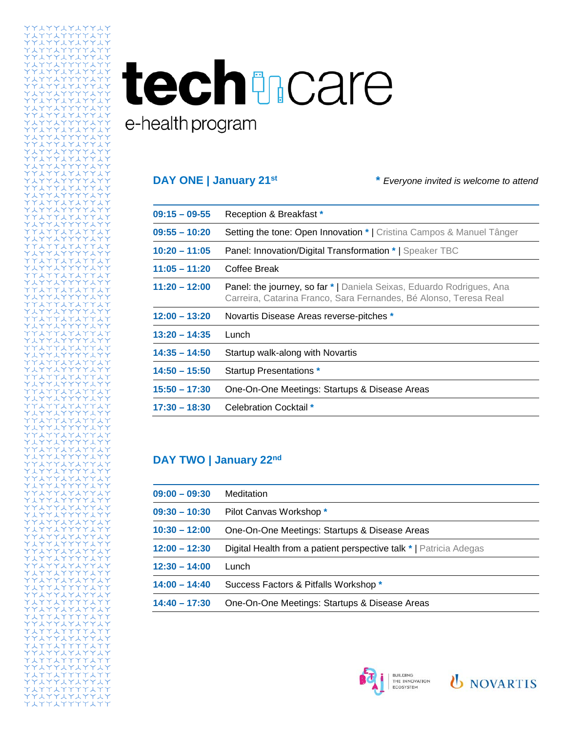## techtmcare e-health program

トイイ イイーム

**DAY ONE | January 21st \*** *Everyone invited is welcome to attend*

| $09:15 - 09-55$ | Reception & Breakfast *                                                                                                                           |
|-----------------|---------------------------------------------------------------------------------------------------------------------------------------------------|
| $09:55 - 10:20$ | Setting the tone: Open Innovation *   Cristina Campos & Manuel Tânger                                                                             |
| $10:20 - 11:05$ | Panel: Innovation/Digital Transformation *   Speaker TBC                                                                                          |
| $11:05 - 11:20$ | Coffee Break                                                                                                                                      |
| $11:20 - 12:00$ | <b>Panel: the journey, so far *   Daniela Seixas, Eduardo Rodrigues, Ana</b><br>Carreira, Catarina Franco, Sara Fernandes, Bé Alonso, Teresa Real |
| $12:00 - 13:20$ | Novartis Disease Areas reverse-pitches *                                                                                                          |
| $13:20 - 14:35$ | Lunch                                                                                                                                             |
| $14:35 - 14:50$ | Startup walk-along with Novartis                                                                                                                  |
| $14:50 - 15:50$ | Startup Presentations *                                                                                                                           |
| $15:50 - 17:30$ | One-On-One Meetings: Startups & Disease Areas                                                                                                     |
| $17:30 - 18:30$ | Celebration Cocktail *                                                                                                                            |

## **DAY TWO | January 22nd**

| $09:00 - 09:30$ | Meditation                                                         |
|-----------------|--------------------------------------------------------------------|
| $09:30 - 10:30$ | Pilot Canvas Workshop *                                            |
| $10:30 - 12:00$ | One-On-One Meetings: Startups & Disease Areas                      |
| $12:00 - 12:30$ | Digital Health from a patient perspective talk *   Patricia Adegas |
| $12:30 - 14:00$ | Lunch                                                              |
| $14:00 - 14:40$ | Success Factors & Pitfalls Workshop *                              |
| $14:40 - 17:30$ | One-On-One Meetings: Startups & Disease Areas                      |